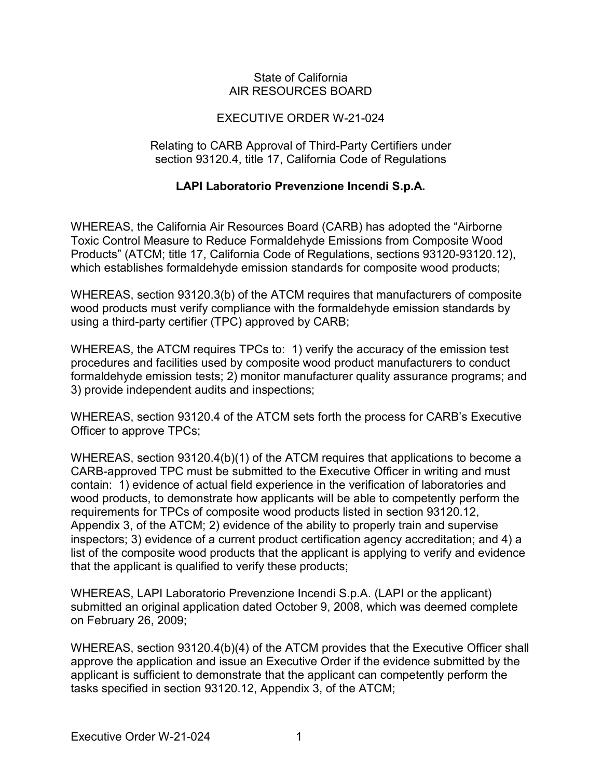## State of California AIR RESOURCES BOARD

## EXECUTIVE ORDER W-21-024

## Relating to CARB Approval of Third-Party Certifiers under section 93120.4, title 17, California Code of Regulations

## **LAPI Laboratorio Prevenzione Incendi S.p.A.**

 which establishes formaldehyde emission standards for composite wood products; WHEREAS, the California Air Resources Board (CARB) has adopted the "Airborne Toxic Control Measure to Reduce Formaldehyde Emissions from Composite Wood Products" (ATCM; title 17, California Code of Regulations, sections 93120-93120.12),

 using a third-party certifier (TPC) approved by CARB; WHEREAS, section 93120.3(b) of the ATCM requires that manufacturers of composite wood products must verify compliance with the formaldehyde emission standards by

 WHEREAS, the ATCM requires TPCs to: 1) verify the accuracy of the emission test procedures and facilities used by composite wood product manufacturers to conduct formaldehyde emission tests; 2) monitor manufacturer quality assurance programs; and 3) provide independent audits and inspections;

 WHEREAS, section 93120.4 of the ATCM sets forth the process for CARB's Executive Officer to approve TPCs;

 CARB-approved TPC must be submitted to the Executive Officer in writing and must contain: 1) evidence of actual field experience in the verification of laboratories and that the applicant is qualified to verify these products; WHEREAS, section 93120.4(b)(1) of the ATCM requires that applications to become a wood products, to demonstrate how applicants will be able to competently perform the requirements for TPCs of composite wood products listed in section 93120.12, Appendix 3, of the ATCM; 2) evidence of the ability to properly train and supervise inspectors; 3) evidence of a current product certification agency accreditation; and 4) a list of the composite wood products that the applicant is applying to verify and evidence

WHEREAS, LAPI Laboratorio Prevenzione Incendi S.p.A. (LAPI or the applicant) submitted an original application dated October 9, 2008, which was deemed complete on February 26, 2009;

 tasks specified in section 93120.12, Appendix 3, of the ATCM; WHEREAS, section 93120.4(b)(4) of the ATCM provides that the Executive Officer shall approve the application and issue an Executive Order if the evidence submitted by the applicant is sufficient to demonstrate that the applicant can competently perform the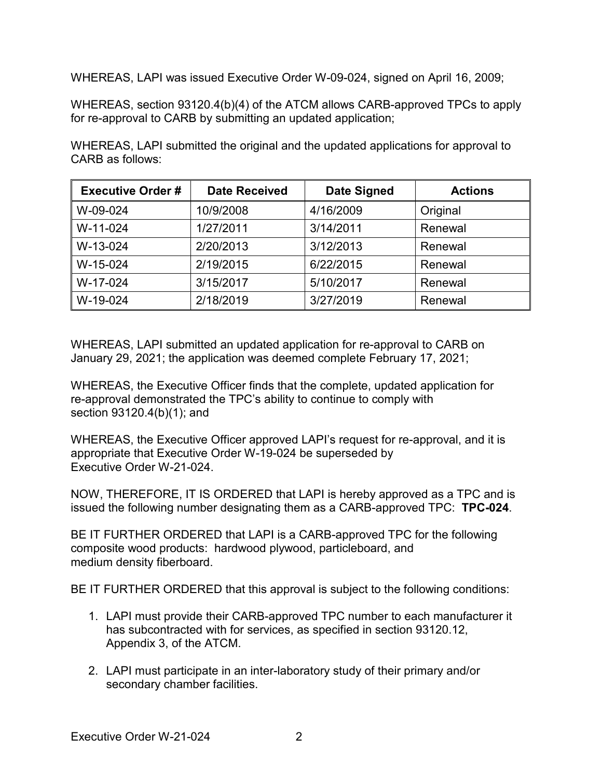WHEREAS, LAPI was issued Executive Order W-09-024, signed on April 16, 2009;

 WHEREAS, section 93120.4(b)(4) of the ATCM allows CARB-approved TPCs to apply for re-approval to CARB by submitting an updated application;

 WHEREAS, LAPI submitted the original and the updated applications for approval to CARB as follows:

| <b>Executive Order#</b> | <b>Date Received</b> | <b>Date Signed</b> | <b>Actions</b> |
|-------------------------|----------------------|--------------------|----------------|
| W-09-024                | 10/9/2008            | 4/16/2009          | Original       |
| W-11-024                | 1/27/2011            | 3/14/2011          | Renewal        |
| W-13-024                | 2/20/2013            | 3/12/2013          | Renewal        |
| W-15-024                | 2/19/2015            | 6/22/2015          | Renewal        |
| W-17-024                | 3/15/2017            | 5/10/2017          | Renewal        |
| W-19-024                | 2/18/2019            | 3/27/2019          | Renewal        |

 January 29, 2021; the application was deemed complete February 17, 2021; WHEREAS, LAPI submitted an updated application for re-approval to CARB on

 section 93120.4(b)(1); and WHEREAS, the Executive Officer finds that the complete, updated application for re-approval demonstrated the TPC's ability to continue to comply with

 appropriate that Executive Order W-19-024 be superseded by Executive Order W-21-024. WHEREAS, the Executive Officer approved LAPI's request for re-approval, and it is

 NOW, THEREFORE, IT IS ORDERED that LAPI is hereby approved as a TPC and is issued the following number designating them as a CARB-approved TPC: **TPC-024**.

 BE IT FURTHER ORDERED that LAPI is a CARB-approved TPC for the following composite wood products: hardwood plywood, particleboard, and medium density fiberboard.

medium density fiberboard.<br>BE IT FURTHER ORDERED that this approval is subject to the following conditions:

- 1. LAPI must provide their CARB-approved TPC number to each manufacturer it Appendix 3, of the ATCM. has subcontracted with for services, as specified in section 93120.12,
- 2. LAPI must participate in an inter-laboratory study of their primary and/or secondary chamber facilities.